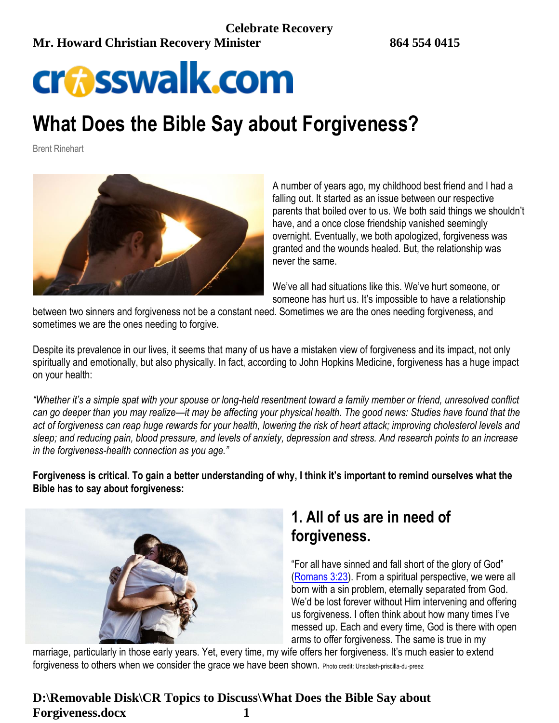# **crosswalk.com**

# **What Does the Bible Say about Forgiveness?**

Brent Rinehart



A number of years ago, my childhood best friend and I had a falling out. It started as an issue between our respective parents that boiled over to us. We both said things we shouldn't have, and a once close friendship vanished seemingly overnight. Eventually, we both apologized, forgiveness was granted and the wounds healed. But, the relationship was never the same.

We've all had situations like this. We've hurt someone, or someone has hurt us. It's impossible to have a relationship

between two sinners and forgiveness not be a constant need. Sometimes we are the ones needing forgiveness, and sometimes we are the ones needing to forgive.

Despite its prevalence in our lives, it seems that many of us have a mistaken view of forgiveness and its impact, not only spiritually and emotionally, but also physically. In fact, according to John Hopkins Medicine, forgiveness has a huge impact on your health:

*"Whether it's a simple spat with your spouse or long-held resentment toward a family member or friend, unresolved conflict can go deeper than you may realize—it may be affecting your physical health. The good news: Studies have found that the act of forgiveness can reap huge rewards for your health, lowering the risk of heart attack; improving cholesterol levels and sleep; and reducing pain, blood pressure, and levels of anxiety, depression and stress. And research points to an increase in the forgiveness-health connection as you age."*

**Forgiveness is critical. To gain a better understanding of why, I think it's important to remind ourselves what the Bible has to say about forgiveness:**



# **1. All of us are in need of forgiveness.**

"For all have sinned and fall short of the glory of God" [\(Romans 3:23\)](http://www.biblestudytools.com/search/?t=niv&q=ro+3:23). From a spiritual perspective, we were all born with a sin problem, eternally separated from God. We'd be lost forever without Him intervening and offering us forgiveness. I often think about how many times I've messed up. Each and every time, God is there with open arms to offer forgiveness. The same is true in my

marriage, particularly in those early years. Yet, every time, my wife offers her forgiveness. It's much easier to extend forgiveness to others when we consider the grace we have been shown. Photo credit: Unsplash-priscilla-du-preez

### **D:\Removable Disk\CR Topics to Discuss\What Does the Bible Say about Forgiveness.docx 1**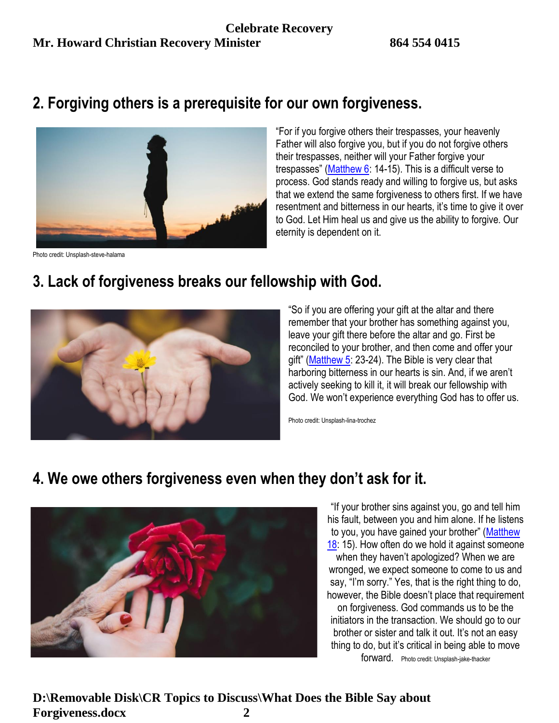## **2. Forgiving others is a prerequisite for our own forgiveness.**



"For if you forgive others their trespasses, your heavenly Father will also forgive you, but if you do not forgive others their trespasses, neither will your Father forgive your trespasses" ([Matthew 6:](http://www.biblestudytools.com/search/?t=niv&q=mt+6) 14-15). This is a difficult verse to process. God stands ready and willing to forgive us, but asks that we extend the same forgiveness to others first. If we have resentment and bitterness in our hearts, it's time to give it over to God. Let Him heal us and give us the ability to forgive. Our eternity is dependent on it.

Photo credit: Unsplash-steve-halama

## **3. Lack of forgiveness breaks our fellowship with God.**



"So if you are offering your gift at the altar and there remember that your brother has something against you, leave your gift there before the altar and go. First be reconciled to your brother, and then come and offer your gift" (Matthew  $5: 23-24$ ). The Bible is very clear that harboring bitterness in our hearts is sin. And, if we aren't actively seeking to kill it, it will break our fellowship with God. We won't experience everything God has to offer us.

Photo credit: Unsplash-lina-trochez

## **4. We owe others forgiveness even when they don't ask for it.**



"If your brother sins against you, go and tell him his fault, between you and him alone. If he listens to you, you have gained your brother" ([Matthew](http://www.biblestudytools.com/search/?t=niv&q=mt+18)  [18:](http://www.biblestudytools.com/search/?t=niv&q=mt+18) 15). How often do we hold it against someone when they haven't apologized? When we are wronged, we expect someone to come to us and say, "I'm sorry." Yes, that is the right thing to do, however, the Bible doesn't place that requirement on forgiveness. God commands us to be the initiators in the transaction. We should go to our brother or sister and talk it out. It's not an easy thing to do, but it's critical in being able to move forward. Photo credit: Unsplash-jake-thacker

**D:\Removable Disk\CR Topics to Discuss\What Does the Bible Say about Forgiveness.docx 2**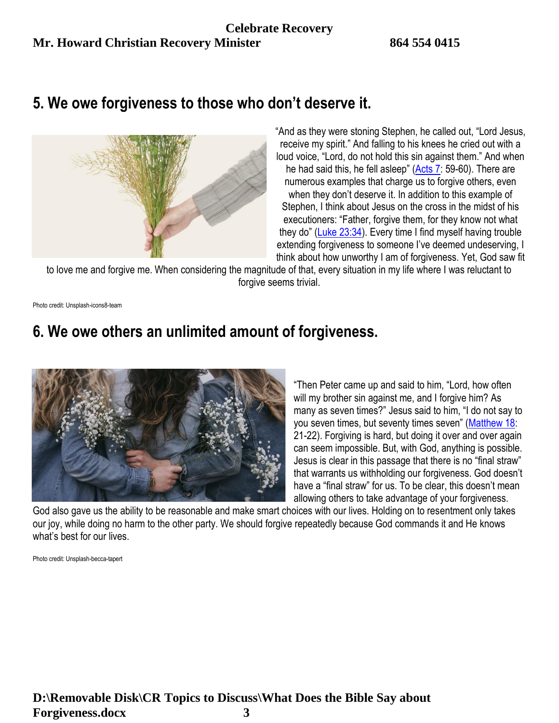## **5. We owe forgiveness to those who don't deserve it.**



"And as they were stoning Stephen, he called out, "Lord Jesus, receive my spirit." And falling to his knees he cried out with a loud voice, "Lord, do not hold this sin against them." And when he had said this, he fell asleep" ([Acts 7:](http://www.biblestudytools.com/search/?t=niv&q=ac+7) 59-60). There are numerous examples that charge us to forgive others, even when they don't deserve it. In addition to this example of Stephen, I think about Jesus on the cross in the midst of his executioners: "Father, forgive them, for they know not what they do" ([Luke 23:34\)](http://www.biblestudytools.com/search/?t=niv&q=lu+23:34). Every time I find myself having trouble extending forgiveness to someone I've deemed undeserving, I think about how unworthy I am of forgiveness. Yet, God saw fit

to love me and forgive me. When considering the magnitude of that, every situation in my life where I was reluctant to forgive seems trivial.

Photo credit: Unsplash-icons8-team

# **6. We owe others an unlimited amount of forgiveness.**



"Then Peter came up and said to him, "Lord, how often will my brother sin against me, and I forgive him? As many as seven times?" Jesus said to him, "I do not say to you seven times, but seventy times seven" ([Matthew 18:](http://www.biblestudytools.com/search/?t=niv&q=mt+18) 21-22). Forgiving is hard, but doing it over and over again can seem impossible. But, with God, anything is possible. Jesus is clear in this passage that there is no "final straw" that warrants us withholding our forgiveness. God doesn't have a "final straw" for us. To be clear, this doesn't mean allowing others to take advantage of your forgiveness.

God also gave us the ability to be reasonable and make smart choices with our lives. Holding on to resentment only takes our joy, while doing no harm to the other party. We should forgive repeatedly because God commands it and He knows what's best for our lives.

Photo credit: Unsplash-becca-tapert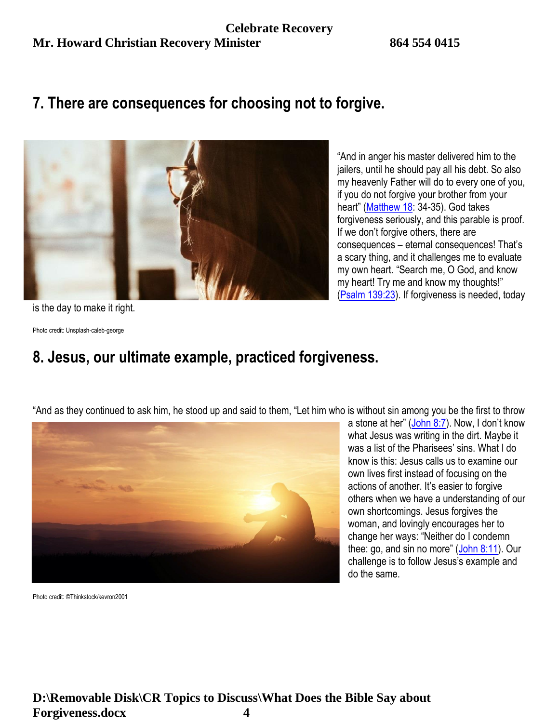## **7. There are consequences for choosing not to forgive.**



"And in anger his master delivered him to the jailers, until he should pay all his debt. So also my heavenly Father will do to every one of you, if you do not forgive your brother from your heart" ([Matthew 18:](http://www.biblestudytools.com/search/?t=niv&q=mt+18) 34-35). God takes forgiveness seriously, and this parable is proof. If we don't forgive others, there are consequences – eternal consequences! That's a scary thing, and it challenges me to evaluate my own heart. "Search me, O God, and know my heart! Try me and know my thoughts!" [\(Psalm 139:23\)](http://www.biblestudytools.com/search/?t=niv&q=ps+139:23). If forgiveness is needed, today

is the day to make it right.

Photo credit: Unsplash-caleb-george

# **8. Jesus, our ultimate example, practiced forgiveness.**

"And as they continued to ask him, he stood up and said to them, "Let him who is without sin among you be the first to throw



a stone at her" ([John 8:7](http://www.biblestudytools.com/search/?t=niv&q=joh+8:7)). Now, I don't know what Jesus was writing in the dirt. Maybe it was a list of the Pharisees' sins. What I do know is this: Jesus calls us to examine our own lives first instead of focusing on the actions of another. It's easier to forgive others when we have a understanding of our own shortcomings. Jesus forgives the woman, and lovingly encourages her to change her ways: "Neither do I condemn thee: go, and sin no more"  $(John 8:11)$  $(John 8:11)$ . Our challenge is to follow Jesus's example and do the same.

Photo credit: ©Thinkstock/kevron2001